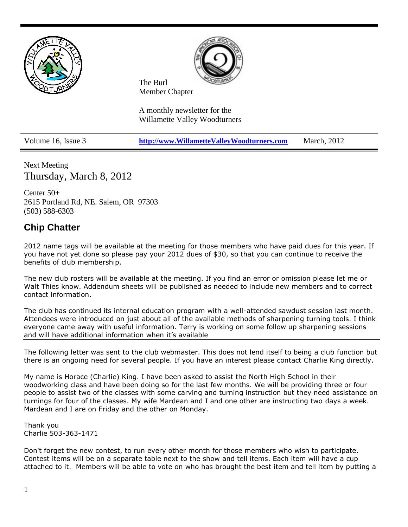



The Burl Member Chapter

A monthly newsletter for the Willamette Valley Woodturners

Volume 16, Issue 3 **[http://www.WillametteValleyWoodturners.com](http://www.willamettevalleywoodturners.com/)** March, 2012

Next Meeting Thursday, March 8, 2012

Center 50+ 2615 Portland Rd, NE. Salem, OR 97303 (503) 588-6303

### **Chip Chatter**

2012 name tags will be available at the meeting for those members who have paid dues for this year. If you have not yet done so please pay your 2012 dues of \$30, so that you can continue to receive the benefits of club membership.

The new club rosters will be available at the meeting. If you find an error or omission please let me or Walt Thies know. Addendum sheets will be published as needed to include new members and to correct contact information.

The club has continued its internal education program with a well-attended sawdust session last month. Attendees were introduced on just about all of the available methods of sharpening turning tools. I think everyone came away with useful information. Terry is working on some follow up sharpening sessions and will have additional information when it's available

The following letter was sent to the club webmaster. This does not lend itself to being a club function but there is an ongoing need for several people. If you have an interest please contact Charlie King directly.

My name is Horace (Charlie) King. I have been asked to assist the North High School in their woodworking class and have been doing so for the last few months. We will be providing three or four people to assist two of the classes with some carving and turning instruction but they need assistance on turnings for four of the classes. My wife Mardean and I and one other are instructing two days a week. Mardean and I are on Friday and the other on Monday.

Thank you Charlie 503-363-1471

Don't forget the new contest, to run every other month for those members who wish to participate. Contest items will be on a separate table next to the show and tell items. Each item will have a cup attached to it. Members will be able to vote on who has brought the best item and tell item by putting a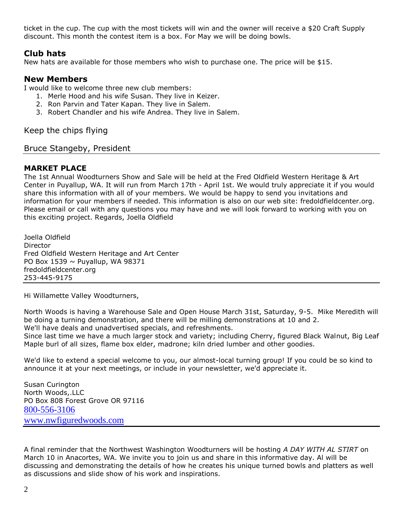ticket in the cup. The cup with the most tickets will win and the owner will receive a \$20 Craft Supply discount. This month the contest item is a box. For May we will be doing bowls.

### **Club hats**

New hats are available for those members who wish to purchase one. The price will be \$15.

### **New Members**

I would like to welcome three new club members:

- 1. Merle Hood and his wife Susan. They live in Keizer.
- 2. Ron Parvin and Tater Kapan. They live in Salem.
- 3. Robert Chandler and his wife Andrea. They live in Salem.

Keep the chips flying

Bruce Stangeby, President

### **MARKET PLACE**

The 1st Annual Woodturners Show and Sale will be held at the Fred Oldfield Western Heritage & Art Center in Puyallup, WA. It will run from March 17th - April 1st. We would truly appreciate it if you would share this information with all of your members. We would be happy to send you invitations and information for your members if needed. This information is also on our web site: fredoldfieldcenter.org. Please email or call with any questions you may have and we will look forward to working with you on this exciting project. Regards, Joella Oldfield

Joella Oldfield Director Fred Oldfield Western Heritage and Art Center PO Box 1539  $\sim$  Puyallup, WA 98371 fredoldfieldcenter.org 253-445-9175

Hi Willamette Valley Woodturners,

North Woods is having a Warehouse Sale and Open House March 31st, Saturday, 9-5. Mike Meredith will be doing a turning demonstration, and there will be milling demonstrations at 10 and 2. We'll have deals and unadvertised specials, and refreshments.

Since last time we have a much larger stock and variety; including Cherry, figured Black Walnut, Big Leaf Maple burl of all sizes, flame box elder, madrone; kiln dried lumber and other goodies.

We'd like to extend a special welcome to you, our almost-local turning group! If you could be so kind to announce it at your next meetings, or include in your newsletter, we'd appreciate it.

Susan Curington North Woods,.LLC PO Box 808 Forest Grove OR 97116 [800-556-3106](tel:800-556-3106) [www.nwfiguredwoods.com](http://www.nwfiguredwoods.com/)

A final reminder that the Northwest Washington Woodturners will be hosting *A DAY WITH AL STIRT* on March 10 in Anacortes, WA. We invite you to join us and share in this informative day. Al will be discussing and demonstrating the details of how he creates his unique turned bowls and platters as well as discussions and slide show of his work and inspirations.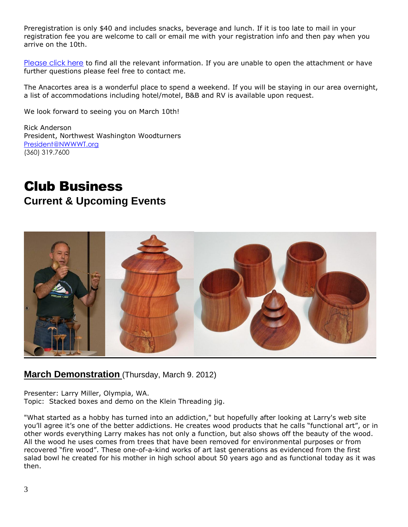Preregistration is only \$40 and includes snacks, beverage and lunch. If it is too late to mail in your registration fee you are welcome to call or email me with your registration info and then pay when you arrive on the 10th.

[Please click here](http://r20.rs6.net/tn.jsp?et=1109394738175&s=9738&e=001rJ6wo0lpmaNGE4SkQBtERATM3Q36Txf3497qP8Fh4duy-luzob8tW1h8bAIL82Q7ucxGhZFwjfo8xVA9w92vNqXNztgA2jHFdXSyTlVok47nOPNoLkkELSfxOT7r67ihC5I4ytfUOweTB89Ls4wdKTiBctf7N6-WtmxPkUYfaOdd5tnG_SfvGNxe06U16rMNTtOCrXgCrfk=) to find all the relevant information. If you are unable to open the attachment or have further questions please feel free to contact me.

The Anacortes area is a wonderful place to spend a weekend. If you will be staying in our area overnight, a list of accommodations including hotel/motel, B&B and RV is available upon request.

We look forward to seeing you on March 10th!

Rick Anderson President, Northwest Washington Woodturners [President@NWWWT.org](mailto:President@NWWWT.org) (360) 319.7600

## Club Business **Current & Upcoming Events**



### **March Demonstration** (Thursday, March 9. 2012)

Presenter: Larry Miller, Olympia, WA. Topic: Stacked boxes and demo on the Klein Threading jig.

"What started as a hobby has turned into an addiction," but hopefully after looking at Larry's web site you'll agree it's one of the better addictions. He creates wood products that he calls "functional art", or in other words everything Larry makes has not only a function, but also shows off the beauty of the wood. All the wood he uses comes from trees that have been removed for environmental purposes or from recovered "fire wood". These one-of-a-kind works of art last generations as evidenced from the first salad bowl he created for his mother in high school about 50 years ago and as functional today as it was then.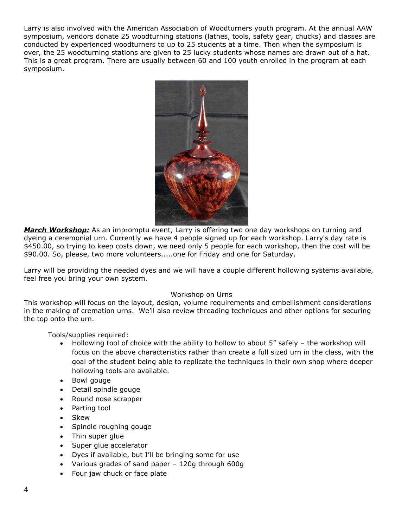Larry is also involved with the American Association of Woodturners youth program. At the annual AAW symposium, vendors donate 25 woodturning stations (lathes, tools, safety gear, chucks) and classes are conducted by experienced woodturners to up to 25 students at a time. Then when the symposium is over, the 25 woodturning stations are given to 25 lucky students whose names are drawn out of a hat. This is a great program. There are usually between 60 and 100 youth enrolled in the program at each symposium.



*March Workshop:* As an impromptu event, Larry is offering two one day workshops on turning and dyeing a ceremonial urn. Currently we have 4 people signed up for each workshop. Larry's day rate is \$450.00, so trying to keep costs down, we need only 5 people for each workshop, then the cost will be \$90.00. So, please, two more volunteers.....one for Friday and one for Saturday.

Larry will be providing the needed dyes and we will have a couple different hollowing systems available, feel free you bring your own system.

#### Workshop on Urns

This workshop will focus on the layout, design, volume requirements and embellishment considerations in the making of cremation urns. We'll also review threading techniques and other options for securing the top onto the urn.

Tools/supplies required:

- Hollowing tool of choice with the ability to hollow to about 5" safely the workshop will focus on the above characteristics rather than create a full sized urn in the class, with the goal of the student being able to replicate the techniques in their own shop where deeper hollowing tools are available.
- Bowl gouge
- Detail spindle gouge
- Round nose scrapper
- Parting tool
- Skew
- Spindle roughing gouge
- Thin super glue
- Super glue accelerator
- Dyes if available, but I'll be bringing some for use
- Various grades of sand paper 120g through 600g
- Four jaw chuck or face plate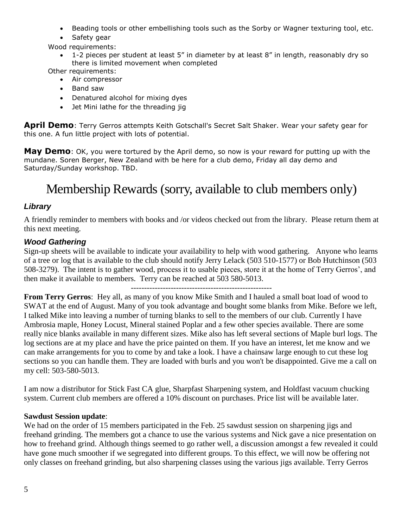- Beading tools or other embellishing tools such as the Sorby or Wagner texturing tool, etc.
- Safety gear

Wood requirements:

 1-2 pieces per student at least 5" in diameter by at least 8" in length, reasonably dry so there is limited movement when completed

Other requirements:

- Air compressor
- Band saw
- Denatured alcohol for mixing dyes
- Jet Mini lathe for the threading jig

**April Demo**: Terry Gerros attempts Keith Gotschall's Secret Salt Shaker. Wear your safety gear for this one. A fun little project with lots of potential.

**May Demo**: OK, you were tortured by the April demo, so now is your reward for putting up with the mundane. Soren Berger, New Zealand with be here for a club demo, Friday all day demo and Saturday/Sunday workshop. TBD.

# Membership Rewards (sorry, available to club members only)

### *Library*

A friendly reminder to members with books and /or videos checked out from the library. Please return them at this next meeting.

### *Wood Gathering*

Sign-up sheets will be available to indicate your availability to help with wood gathering. Anyone who learns of a tree or log that is available to the club should notify Jerry Lelack (503 510-1577) or Bob Hutchinson (503 508-3279). The intent is to gather wood, process it to usable pieces, store it at the home of Terry Gerros', and then make it available to members. Terry can be reached at 503 580-5013.

-----------------------------------------------------

**From Terry Gerros**: Hey all, as many of you know Mike Smith and I hauled a small boat load of wood to SWAT at the end of August. Many of you took advantage and bought some blanks from Mike. Before we left, I talked Mike into leaving a number of turning blanks to sell to the members of our club. Currently I have Ambrosia maple, Honey Locust, Mineral stained Poplar and a few other species available. There are some really nice blanks available in many different sizes. Mike also has left several sections of Maple burl logs. The log sections are at my place and have the price painted on them. If you have an interest, let me know and we can make arrangements for you to come by and take a look. I have a chainsaw large enough to cut these log sections so you can handle them. They are loaded with burls and you won't be disappointed. Give me a call on my cell: 503-580-5013.

I am now a distributor for Stick Fast CA glue, Sharpfast Sharpening system, and Holdfast vacuum chucking system. Current club members are offered a 10% discount on purchases. Price list will be available later.

#### **Sawdust Session update**:

We had on the order of 15 members participated in the Feb. 25 sawdust session on sharpening jigs and freehand grinding. The members got a chance to use the various systems and Nick gave a nice presentation on how to freehand grind. Although things seemed to go rather well, a discussion amongst a few revealed it could have gone much smoother if we segregated into different groups. To this effect, we will now be offering not only classes on freehand grinding, but also sharpening classes using the various jigs available. Terry Gerros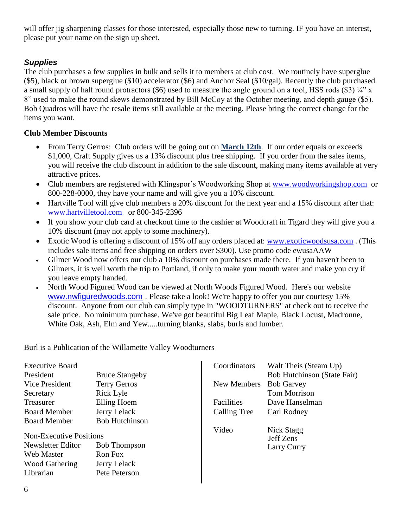will offer jig sharpening classes for those interested, especially those new to turning. IF you have an interest, please put your name on the sign up sheet.

### *Supplies*

The club purchases a few supplies in bulk and sells it to members at club cost. We routinely have superglue (\$5), black or brown superglue (\$10) accelerator (\$6) and Anchor Seal (\$10/gal). Recently the club purchased a small supply of half round protractors (\$6) used to measure the angle ground on a tool, HSS rods (\$3)  $\frac{1}{4}$ " x 8" used to make the round skews demonstrated by Bill McCoy at the October meeting, and depth gauge (\$5). Bob Quadros will have the resale items still available at the meeting. Please bring the correct change for the items you want.

### **Club Member Discounts**

- From Terry Gerros: Club orders will be going out on **March 12th**. If our order equals or exceeds \$1,000, Craft Supply gives us a 13% discount plus free shipping. If you order from the sales items, you will receive the club discount in addition to the sale discount, making many items available at very attractive prices.
- Club members are registered with Klingspor's Woodworking Shop at [www.woodworkingshop.com](http://www.woodworkingshop.com/) or 800-228-0000, they have your name and will give you a 10% discount.
- Hartville Tool will give club members a 20% discount for the next year and a 15% discount after that: [www.hartvilletool.com](http://www.hartvilletool.com/) or 800-345-2396
- If you show your club card at checkout time to the cashier at Woodcraft in Tigard they will give you a 10% discount (may not apply to some machinery).
- Exotic Wood is offering a discount of 15% off any orders placed at: [www.exoticwoodsusa.com](http://www.exoticwoodsusa.com/). (This includes sale items and free shipping on orders over \$300). Use promo code ewusaAAW
- Gilmer Wood now offers our club a 10% discount on purchases made there. If you haven't been to Gilmers, it is well worth the trip to Portland, if only to make your mouth water and make you cry if you leave empty handed.
- North Wood Figured Wood can be viewed at North Woods Figured Wood. Here's our website [www.nwfiguredwoods.com](http://www.nwfiguredwoods.com/) . Please take a look! We're happy to offer you our courtesy 15% discount. Anyone from our club can simply type in "WOODTURNERS" at check out to receive the sale price. No minimum purchase. We've got beautiful Big Leaf Maple, Black Locust, Madronne, White Oak, Ash, Elm and Yew.....turning blanks, slabs, burls and lumber.

Burl is a Publication of the Willamette Valley Woodturners

|                                                                                                   | Coordinators | Walt Theis (Steam Up)                  |
|---------------------------------------------------------------------------------------------------|--------------|----------------------------------------|
| <b>Bruce Stangeby</b>                                                                             |              | <b>Bob Hutchinson (State Fair)</b>     |
| <b>Terry Gerros</b>                                                                               | New Members  | <b>Bob Garvey</b>                      |
| Rick Lyle                                                                                         |              | <b>Tom Morrison</b>                    |
| Elling Hoem                                                                                       | Facilities   | Dave Hanselman                         |
| Jerry Lelack                                                                                      | Calling Tree | Carl Rodney                            |
| <b>Bob Hutchinson</b>                                                                             |              |                                        |
| <b>Non-Executive Positions</b><br><b>Bob Thompson</b><br>Ron Fox<br>Jerry Lelack<br>Pete Peterson | Video        | Nick Stagg<br>Jeff Zens<br>Larry Curry |
|                                                                                                   |              |                                        |